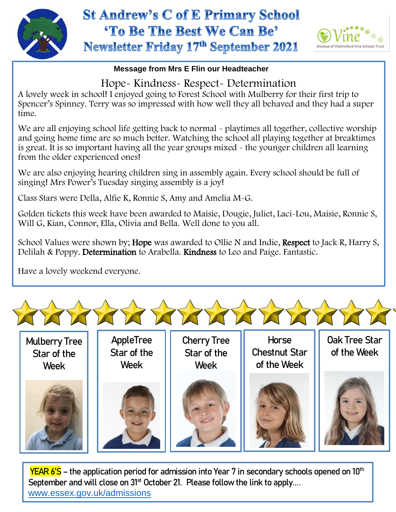

## **St Andrew's C of E Primary School** 'To Be The Best We Can Be' Newsletter Friday 17th September 2021



## **Message from Mrs E Flin our Headteacher**

Hope- Kindness- Respect- Determination

A lovely week in school! I enjoyed going to Forest School with Mulberry for their first trip to Spencer's Spinney. Terry was so impressed with how well they all behaved and they had a super time.

We are all enjoying school life getting back to normal - playtimes all together, collective worship and going home time are so much better. Watching the school all playing together at breaktimes is great. It is so important having all the year groups mixed - the younger children all learning from the older experienced ones!

We are also enjoying hearing children sing in assembly again. Every school should be full of singing! Mrs Power's Tuesday singing assembly is a joy!

Class Stars were Della, Alfie K, Ronnie S, Amy and Amelia M-G.

Golden tickets this week have been awarded to Maisie, Dougie, Juliet, Laci-Lou, Maisie, Ronnie S, Will G, Kian, Connor, Ella, Olivia and Bella. Well done to you all.

School Values were shown by; Hope was awarded to Ollie N and Indie, Respect to Jack R, Harry S, Delilah & Poppy. Determination to Arabella. Kindness to Leo and Paige. Fantastic.

Have a lovely weekend everyone.



Mulberry Tree Star of the Week

AppleTree Star of the Week

Cherry Tree Star of the Week



Horse Chestnut Star Oak Tree Star of the Week



YEAR 6'S - the application period for admission into Year 7 in secondary schools opened on 10<sup>th</sup> September and will close on 31<sup>st</sup> October 21. Please follow the link to apply.... [www.essex.gov.uk/admissions](https://gbr01.safelinks.protection.outlook.com/?url=http%3A%2F%2Fwww.essex.gov.uk%2Fadmissions&data=04%7C01%7Coffice.greatyeldham%40dcvst.org%7Cbb82365a6e2f4742da5a08d9743b1467%7C282c78034b8f4fbda3841682df47e3ad%7C1%7C1%7C637668619365015186%7CUnknown%7CTWFpbGZsb3d8eyJWIjoiMC4wLjAwMDAiLCJQIjoiV2luMzIiLCJBTiI6Ik1haWwiLCJXVCI6Mn0%3D%7C2000&sdata=W5FZE0YRgxFVOpIpSUv7Fad8ixGNMis4dJwj3wf9RTk%3D&reserved=0)